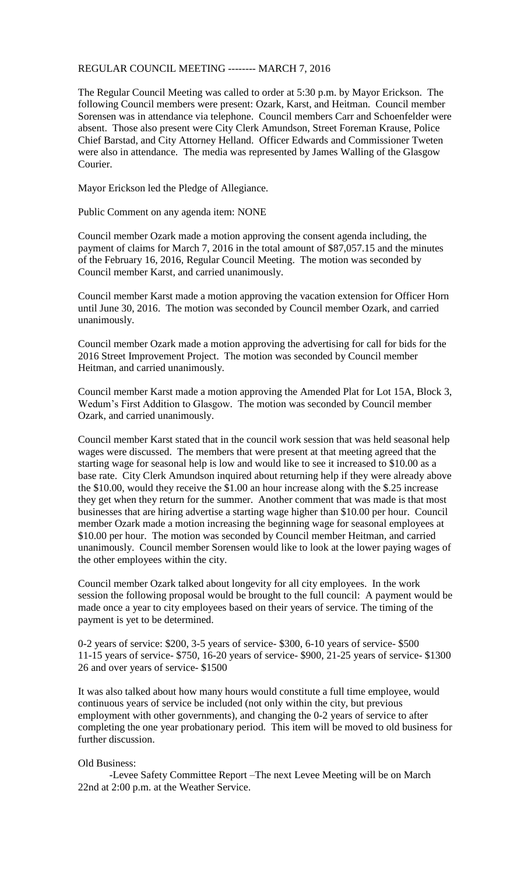## REGULAR COUNCIL MEETING -------- MARCH 7, 2016

The Regular Council Meeting was called to order at 5:30 p.m. by Mayor Erickson. The following Council members were present: Ozark, Karst, and Heitman. Council member Sorensen was in attendance via telephone. Council members Carr and Schoenfelder were absent. Those also present were City Clerk Amundson, Street Foreman Krause, Police Chief Barstad, and City Attorney Helland. Officer Edwards and Commissioner Tweten were also in attendance. The media was represented by James Walling of the Glasgow Courier.

Mayor Erickson led the Pledge of Allegiance.

Public Comment on any agenda item: NONE

Council member Ozark made a motion approving the consent agenda including, the payment of claims for March 7, 2016 in the total amount of \$87,057.15 and the minutes of the February 16, 2016, Regular Council Meeting. The motion was seconded by Council member Karst, and carried unanimously.

Council member Karst made a motion approving the vacation extension for Officer Horn until June 30, 2016. The motion was seconded by Council member Ozark, and carried unanimously.

Council member Ozark made a motion approving the advertising for call for bids for the 2016 Street Improvement Project. The motion was seconded by Council member Heitman, and carried unanimously.

Council member Karst made a motion approving the Amended Plat for Lot 15A, Block 3, Wedum's First Addition to Glasgow. The motion was seconded by Council member Ozark, and carried unanimously.

Council member Karst stated that in the council work session that was held seasonal help wages were discussed. The members that were present at that meeting agreed that the starting wage for seasonal help is low and would like to see it increased to \$10.00 as a base rate. City Clerk Amundson inquired about returning help if they were already above the \$10.00, would they receive the \$1.00 an hour increase along with the \$.25 increase they get when they return for the summer. Another comment that was made is that most businesses that are hiring advertise a starting wage higher than \$10.00 per hour. Council member Ozark made a motion increasing the beginning wage for seasonal employees at \$10.00 per hour. The motion was seconded by Council member Heitman, and carried unanimously. Council member Sorensen would like to look at the lower paying wages of the other employees within the city.

Council member Ozark talked about longevity for all city employees. In the work session the following proposal would be brought to the full council: A payment would be made once a year to city employees based on their years of service. The timing of the payment is yet to be determined.

0-2 years of service: \$200, 3-5 years of service- \$300, 6-10 years of service- \$500 11-15 years of service- \$750, 16-20 years of service- \$900, 21-25 years of service- \$1300 26 and over years of service- \$1500

It was also talked about how many hours would constitute a full time employee, would continuous years of service be included (not only within the city, but previous employment with other governments), and changing the 0-2 years of service to after completing the one year probationary period. This item will be moved to old business for further discussion.

## Old Business:

-Levee Safety Committee Report –The next Levee Meeting will be on March 22nd at 2:00 p.m. at the Weather Service.